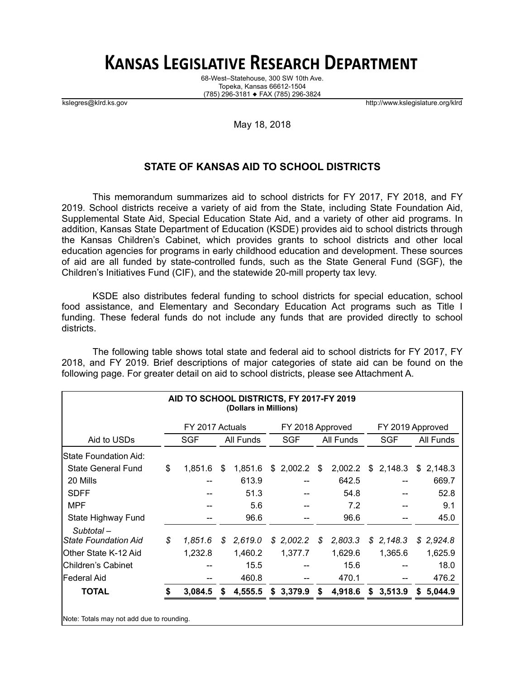# **KANSAS LEGISLATIVE RESEARCH DEPARTMENT**

68-West–Statehouse, 300 SW 10th Ave. Topeka, Kansas 66612-1504 (785) 296-3181 ♦ FAX (785) 296-3824

kslegres@klrd.ks.gov http://www.kslegislature.org/klrd

### May 18, 2018

## **STATE OF KANSAS AID TO SCHOOL DISTRICTS**

This memorandum summarizes aid to school districts for FY 2017, FY 2018, and FY 2019. School districts receive a variety of aid from the State, including State Foundation Aid, Supplemental State Aid, Special Education State Aid, and a variety of other aid programs. In addition, Kansas State Department of Education (KSDE) provides aid to school districts through the Kansas Children's Cabinet, which provides grants to school districts and other local education agencies for programs in early childhood education and development. These sources of aid are all funded by state-controlled funds, such as the State General Fund (SGF), the Children's Initiatives Fund (CIF), and the statewide 20-mill property tax levy.

KSDE also distributes federal funding to school districts for special education, school food assistance, and Elementary and Secondary Education Act programs such as Title I funding. These federal funds do not include any funds that are provided directly to school districts.

The following table shows total state and federal aid to school districts for FY 2017, FY 2018, and FY 2019. Brief descriptions of major categories of state aid can be found on the following page. For greater detail on aid to school districts, please see Attachment A.

| AID TO SCHOOL DISTRICTS, FY 2017-FY 2019<br>(Dollars in Millions) |    |                 |    |           |    |                  |    |           |    |                  |    |           |  |
|-------------------------------------------------------------------|----|-----------------|----|-----------|----|------------------|----|-----------|----|------------------|----|-----------|--|
|                                                                   |    | FY 2017 Actuals |    |           |    | FY 2018 Approved |    |           |    | FY 2019 Approved |    |           |  |
| Aid to USDs                                                       |    | <b>SGF</b>      |    | All Funds |    | SGF              |    | All Funds |    | <b>SGF</b>       |    | All Funds |  |
| State Foundation Aid:                                             |    |                 |    |           |    |                  |    |           |    |                  |    |           |  |
| <b>State General Fund</b>                                         | \$ | 1,851.6         | \$ | 1,851.6   | \$ | 2,002.2          | \$ | 2,002.2   | \$ | 2,148.3          |    | \$2,148.3 |  |
| 20 Mills                                                          |    |                 |    | 613.9     |    |                  |    | 642.5     |    |                  |    | 669.7     |  |
| <b>SDFF</b>                                                       |    |                 |    | 51.3      |    |                  |    | 54.8      |    |                  |    | 52.8      |  |
| <b>MPF</b>                                                        |    |                 |    | 5.6       |    |                  |    | 7.2       |    |                  |    | 9.1       |  |
| State Highway Fund                                                |    |                 |    | 96.6      |    |                  |    | 96.6      |    |                  |    | 45.0      |  |
| Subtotal-                                                         |    |                 |    |           |    |                  |    |           |    |                  |    |           |  |
| <b>State Foundation Aid</b>                                       | \$ | 1.851.6         | \$ | 2,619.0   |    | \$2,002.2\$      | \$ | 2,803.3   |    | \$2,148.3        | \$ | 2,924.8   |  |
| Other State K-12 Aid                                              |    | 1,232.8         |    | 1,460.2   |    | 1,377.7          |    | 1,629.6   |    | 1,365.6          |    | 1,625.9   |  |
| Children's Cabinet                                                |    |                 |    | 15.5      |    |                  |    | 15.6      |    |                  |    | 18.0      |  |
| lFederal Aid                                                      |    |                 |    | 460.8     |    |                  |    | 470.1     |    |                  |    | 476.2     |  |
| <b>TOTAL</b>                                                      | \$ | 3,084.5         | S  | 4,555.5   | \$ | 3,379.9          | \$ | 4,918.6   | \$ | 3,513.9          | S. | 5,044.9   |  |
| Note: Totals may not add due to rounding.                         |    |                 |    |           |    |                  |    |           |    |                  |    |           |  |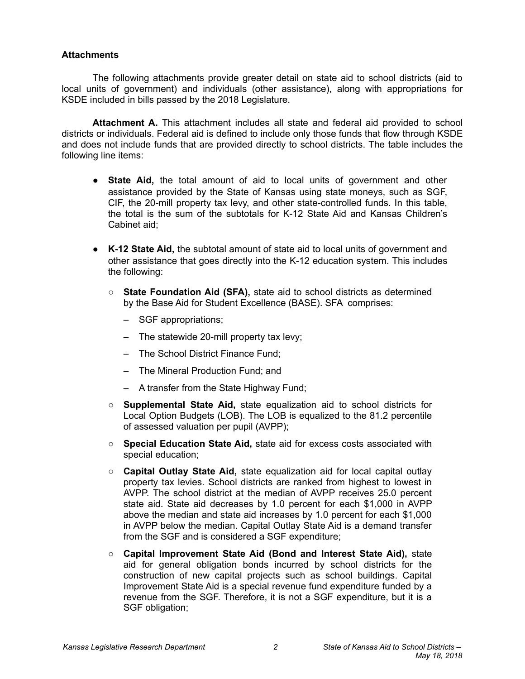## **Attachments**

The following attachments provide greater detail on state aid to school districts (aid to local units of government) and individuals (other assistance), along with appropriations for KSDE included in bills passed by the 2018 Legislature.

**Attachment A.** This attachment includes all state and federal aid provided to school districts or individuals. Federal aid is defined to include only those funds that flow through KSDE and does not include funds that are provided directly to school districts. The table includes the following line items:

- **State Aid,** the total amount of aid to local units of government and other assistance provided by the State of Kansas using state moneys, such as SGF, CIF, the 20-mill property tax levy, and other state-controlled funds. In this table, the total is the sum of the subtotals for K-12 State Aid and Kansas Children's Cabinet aid;
- **K-12 State Aid,** the subtotal amount of state aid to local units of government and other assistance that goes directly into the K-12 education system. This includes the following:
	- **State Foundation Aid (SFA),** state aid to school districts as determined by the Base Aid for Student Excellence (BASE). SFA comprises:
		- SGF appropriations;
		- The statewide 20-mill property tax levy;
		- The School District Finance Fund;
		- The Mineral Production Fund; and
		- A transfer from the State Highway Fund;
	- **Supplemental State Aid,** state equalization aid to school districts for Local Option Budgets (LOB). The LOB is equalized to the 81.2 percentile of assessed valuation per pupil (AVPP);
	- **Special Education State Aid,** state aid for excess costs associated with special education;
	- **Capital Outlay State Aid,** state equalization aid for local capital outlay property tax levies. School districts are ranked from highest to lowest in AVPP. The school district at the median of AVPP receives 25.0 percent state aid. State aid decreases by 1.0 percent for each \$1,000 in AVPP above the median and state aid increases by 1.0 percent for each \$1,000 in AVPP below the median. Capital Outlay State Aid is a demand transfer from the SGF and is considered a SGF expenditure;
	- **Capital Improvement State Aid (Bond and Interest State Aid),** state aid for general obligation bonds incurred by school districts for the construction of new capital projects such as school buildings. Capital Improvement State Aid is a special revenue fund expenditure funded by a revenue from the SGF. Therefore, it is not a SGF expenditure, but it is a SGF obligation;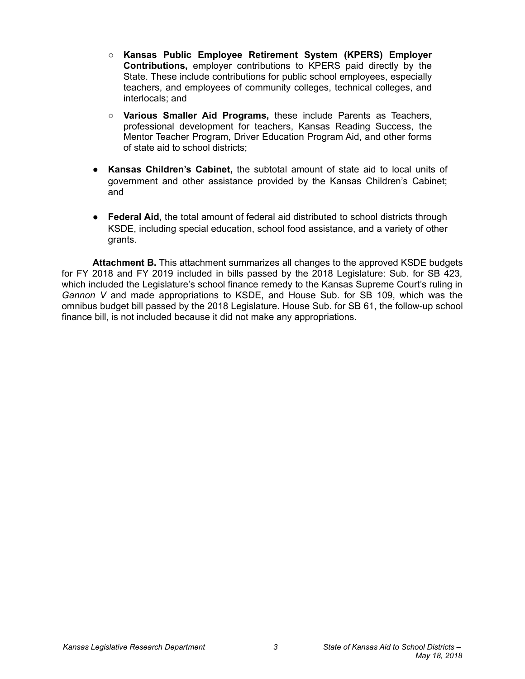- **Kansas Public Employee Retirement System (KPERS) Employer Contributions,** employer contributions to KPERS paid directly by the State. These include contributions for public school employees, especially teachers, and employees of community colleges, technical colleges, and interlocals; and
- **Various Smaller Aid Programs,** these include Parents as Teachers, professional development for teachers, Kansas Reading Success, the Mentor Teacher Program, Driver Education Program Aid, and other forms of state aid to school districts;
- **Kansas Children's Cabinet,** the subtotal amount of state aid to local units of government and other assistance provided by the Kansas Children's Cabinet; and
- **Federal Aid,** the total amount of federal aid distributed to school districts through KSDE, including special education, school food assistance, and a variety of other grants.

**Attachment B.** This attachment summarizes all changes to the approved KSDE budgets for FY 2018 and FY 2019 included in bills passed by the 2018 Legislature: Sub. for SB 423, which included the Legislature's school finance remedy to the Kansas Supreme Court's ruling in *Gannon V* and made appropriations to KSDE, and House Sub. for SB 109, which was the omnibus budget bill passed by the 2018 Legislature. House Sub. for SB 61, the follow-up school finance bill, is not included because it did not make any appropriations.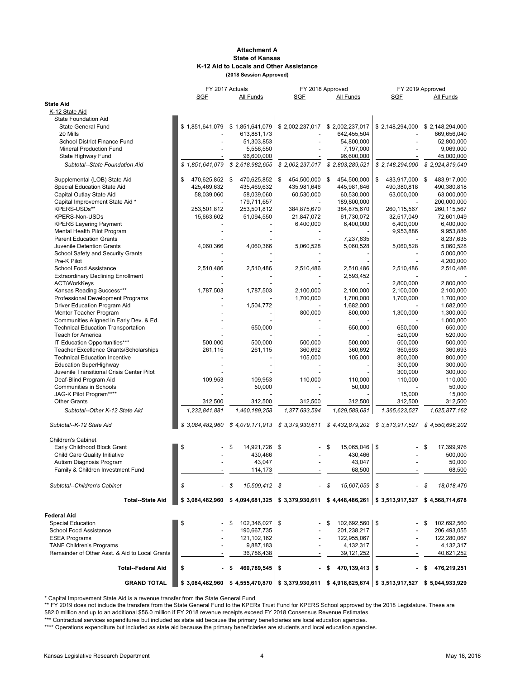#### **Attachment A State of Kansas K-12 Aid to Locals and Other Assistance (2018 Session Approved)**

|                                                |                      | FY 2017 Actuals                 |                      | FY 2018 Approved                                                                                      | FY 2019 Approved                                                                                      |                          |  |  |
|------------------------------------------------|----------------------|---------------------------------|----------------------|-------------------------------------------------------------------------------------------------------|-------------------------------------------------------------------------------------------------------|--------------------------|--|--|
|                                                | <b>SGF</b>           | All Funds                       | SGF                  | All Funds                                                                                             | <u>SGF</u>                                                                                            | All Funds                |  |  |
| <b>State Aid</b>                               |                      |                                 |                      |                                                                                                       |                                                                                                       |                          |  |  |
| K-12 State Aid                                 |                      |                                 |                      |                                                                                                       |                                                                                                       |                          |  |  |
| <b>State Foundation Aid</b>                    |                      |                                 |                      |                                                                                                       |                                                                                                       |                          |  |  |
| <b>State General Fund</b>                      |                      | \$1,851,641,079 \$1,851,641,079 |                      | \$2,002,237,017 \$2,002,237,017                                                                       | \$2,148,294,000                                                                                       | \$2,148,294,000          |  |  |
| 20 Mills                                       |                      | 613,881,173                     |                      | 642,455,504                                                                                           |                                                                                                       | 669.656.040              |  |  |
| School District Finance Fund                   |                      | 51,303,853                      |                      | 54,800,000                                                                                            |                                                                                                       | 52,800,000               |  |  |
| <b>Mineral Production Fund</b>                 |                      | 5,556,550                       |                      | 7,197,000                                                                                             |                                                                                                       | 9,069,000                |  |  |
| State Highway Fund                             |                      | 96,600,000                      |                      | 96,600,000                                                                                            |                                                                                                       | 45,000,000               |  |  |
| Subtotal--State Foundation Aid                 | \$1,851,641,079      | \$2,618,982,655                 |                      | \$2,002,237,017 \$2,803,289,521                                                                       | \$2,148,294,000                                                                                       | \$2,924,819,040          |  |  |
| Supplemental (LOB) State Aid                   | \$<br>470,625,852 \$ | 470,625,852                     | \$<br>454,500,000 \$ | 454,500,000                                                                                           | \$<br>483,917,000 \$                                                                                  | 483,917,000              |  |  |
| Special Education State Aid                    | 425,469,632          | 435,469,632                     | 435,981,646          | 445,981,646                                                                                           | 490,380,818                                                                                           | 490,380,818              |  |  |
| Capital Outlay State Aid                       | 58,039,060           | 58,039,060                      | 60,530,000           | 60,530,000                                                                                            | 63,000,000                                                                                            | 63,000,000               |  |  |
| Capital Improvement State Aid *                |                      | 179,711,657                     |                      | 189,800,000                                                                                           |                                                                                                       | 200,000,000              |  |  |
| KPERS-USDs**                                   | 253,501,812          | 253,501,812                     | 384,875,670          | 384,875,670                                                                                           | 260,115,567                                                                                           | 260,115,567              |  |  |
| KPERS-Non-USDs                                 | 15,663,602           | 51,094,550                      | 21,847,072           | 61,730,072                                                                                            | 32,517,049                                                                                            | 72,601,049               |  |  |
| <b>KPERS Layering Payment</b>                  |                      |                                 | 6,400,000            | 6,400,000                                                                                             | 6,400,000                                                                                             | 6,400,000                |  |  |
| Mental Health Pilot Program                    |                      |                                 |                      |                                                                                                       | 9,953,886                                                                                             | 9,953,886                |  |  |
| <b>Parent Education Grants</b>                 |                      |                                 |                      | 7,237,635                                                                                             |                                                                                                       | 8,237,635                |  |  |
| Juvenile Detention Grants                      | 4,060,366            | 4,060,366                       | 5,060,528            | 5,060,528                                                                                             | 5,060,528                                                                                             | 5,060,528                |  |  |
| School Safety and Security Grants              |                      |                                 |                      |                                                                                                       |                                                                                                       | 5,000,000                |  |  |
| Pre-K Pilot                                    |                      |                                 |                      |                                                                                                       |                                                                                                       | 4,200,000                |  |  |
| School Food Assistance                         | 2,510,486            | 2,510,486                       | 2,510,486            | 2,510,486                                                                                             | 2,510,486                                                                                             | 2,510,486                |  |  |
| <b>Extraordinary Declining Enrollment</b>      |                      |                                 |                      | 2,593,452                                                                                             |                                                                                                       |                          |  |  |
| <b>ACT/WorkKeys</b>                            |                      |                                 |                      |                                                                                                       | 2,800,000                                                                                             | 2,800,000                |  |  |
| Kansas Reading Success***                      | 1,787,503            | 1,787,503                       | 2,100,000            | 2,100,000                                                                                             | 2,100,000                                                                                             | 2,100,000                |  |  |
| Professional Development Programs              |                      |                                 | 1,700,000            | 1,700,000                                                                                             | 1,700,000                                                                                             | 1,700,000                |  |  |
| Driver Education Program Aid                   |                      | 1,504,772                       |                      | 1,682,000                                                                                             |                                                                                                       | 1,682,000                |  |  |
| Mentor Teacher Program                         |                      |                                 | 800,000              | 800,000                                                                                               | 1,300,000                                                                                             | 1,300,000                |  |  |
| Communities Aligned in Early Dev. & Ed.        |                      |                                 |                      |                                                                                                       |                                                                                                       | 1,000,000                |  |  |
| <b>Technical Education Transportation</b>      |                      | 650,000                         |                      | 650,000                                                                                               | 650,000                                                                                               | 650,000                  |  |  |
| Teach for America                              |                      |                                 |                      |                                                                                                       | 520,000                                                                                               | 520,000                  |  |  |
| IT Education Opportunities***                  | 500,000              | 500,000                         | 500,000              | 500,000                                                                                               | 500,000                                                                                               | 500,000                  |  |  |
| Teacher Excellence Grants/Scholarships         | 261,115              | 261,115                         | 360,692              | 360,692                                                                                               | 360,693                                                                                               | 360,693                  |  |  |
| <b>Technical Education Incentive</b>           |                      |                                 | 105,000              | 105,000                                                                                               | 800,000                                                                                               | 800,000                  |  |  |
| <b>Education SuperHighway</b>                  |                      |                                 |                      |                                                                                                       | 300,000                                                                                               | 300,000                  |  |  |
| Juvenile Transitional Crisis Center Pilot      |                      |                                 |                      |                                                                                                       | 300,000                                                                                               | 300,000                  |  |  |
| Deaf-Blind Program Aid                         | 109,953              | 109,953                         | 110,000              | 110,000                                                                                               | 110,000                                                                                               | 110,000                  |  |  |
| Communities in Schools                         |                      | 50,000                          |                      | 50,000                                                                                                |                                                                                                       | 50,000                   |  |  |
| JAG-K Pilot Program****<br><b>Other Grants</b> | 312,500              | 312,500                         | 312,500              | 312,500                                                                                               | 15,000<br>312,500                                                                                     | 15,000                   |  |  |
| Subtotal--Other K-12 State Aid                 | 1,232,841,881        | 1,460,189,258                   | 1,377,693,594        | 1,629,589,681                                                                                         | 1,365,623,527                                                                                         | 312,500<br>1,625,877,162 |  |  |
|                                                |                      |                                 |                      |                                                                                                       |                                                                                                       |                          |  |  |
| Subtotal--K-12 State Aid                       |                      |                                 |                      | \$3,084,482,960 \$4,079,171,913 \$3,379,930,611 \$4,432,879,202 \$3,513,917,527 \$4,550,696,202       |                                                                                                       |                          |  |  |
| <b>Children's Cabinet</b>                      |                      |                                 |                      |                                                                                                       |                                                                                                       |                          |  |  |
| Early Childhood Block Grant                    | \$                   | 14,921,726 \$<br>\$             |                      | 15,065,046 \$<br>\$                                                                                   |                                                                                                       | \$<br>17,399,976         |  |  |
| Child Care Quality Initiative                  |                      | 430,466                         |                      | 430,466                                                                                               |                                                                                                       | 500,000                  |  |  |
| Autism Diagnosis Program                       |                      | 43,047                          |                      | 43,047                                                                                                |                                                                                                       | 50,000                   |  |  |
| Family & Children Investment Fund              |                      | 114,173                         |                      | 68,500                                                                                                |                                                                                                       | 68,500                   |  |  |
| Subtotal--Children's Cabinet                   | \$                   | $15,509,412$ \$<br>S            |                      | 15,607,059<br>\$                                                                                      | \$                                                                                                    | 18,018,476<br>S          |  |  |
| <b>Total--State Aid</b>                        |                      |                                 |                      | $$3,084,482,960$ $$4,094,681,325$ $$3,379,930,611$ $$4,448,486,261$ $$3,513,917,527$ $$4,568,714,678$ |                                                                                                       |                          |  |  |
| <b>Federal Aid</b>                             |                      |                                 |                      |                                                                                                       |                                                                                                       |                          |  |  |
| <b>Special Education</b>                       | \$                   | 102,346,027 \$<br>S.            |                      | 102,692,560 \$<br>S                                                                                   |                                                                                                       | 102,692,560              |  |  |
| School Food Assistance                         |                      | 190,667,735                     |                      | 201,238,217                                                                                           |                                                                                                       | 206,493,055              |  |  |
| <b>ESEA Programs</b>                           |                      | 121,102,162                     |                      | 122,955,067                                                                                           |                                                                                                       | 122,280,067              |  |  |
| <b>TANF Children's Programs</b>                |                      | 9,887,183                       |                      | 4,132,317                                                                                             |                                                                                                       | 4,132,317                |  |  |
| Remainder of Other Asst. & Aid to Local Grants |                      | 36,786,438                      |                      | 39,121,252                                                                                            |                                                                                                       | 40,621,252               |  |  |
| <b>Total--Federal Aid</b>                      | \$                   | 460,789,545                     | - \$                 | 470,139,413                                                                                           | \$                                                                                                    | 476,219,251              |  |  |
| <b>GRAND TOTAL</b>                             |                      |                                 |                      |                                                                                                       | $$3,084,482,960$ $$4,555,470,870$ $$3,379,930,611$ $$4,918,625,674$ $$3,513,917,527$ $$5,044,933,929$ |                          |  |  |

\* Capital Improvement State Aid is a revenue transfer from the State General Fund.

\*\* FY 2019 does not include the transfers from the State General Fund to the KPERs Trust Fund for KPERS School approved by the 2018 Legislature. These are \$82.0 million and up to an additional \$56.0 million if FY 2018 revenue receipts exceed FY 2018 Consensus Revenue Estimates.

\*\*\* Contractual services expenditures but included as state aid because the primary beneficiaries are local education agencies.

\*\*\*\* Operations expenditure but included as state aid because the primary beneficiaries are students and local education agencies.